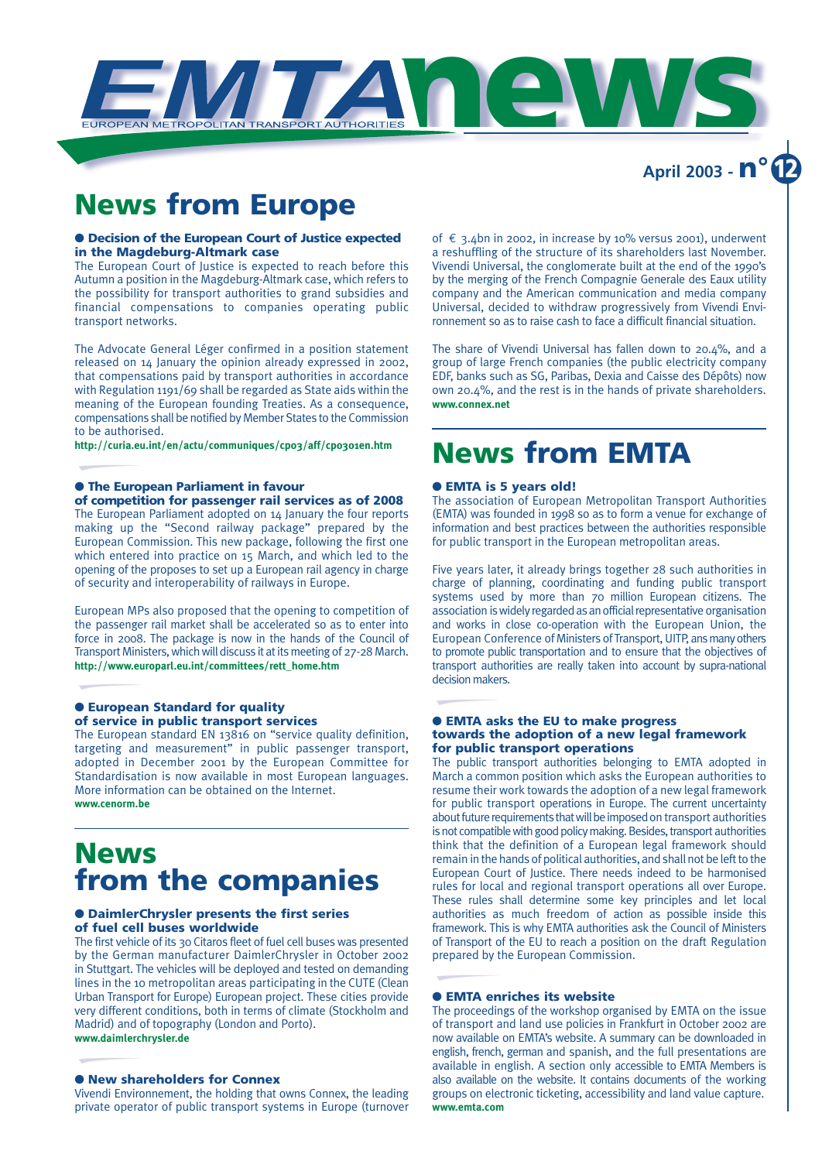

### **News from Europe**

#### ● **Decision of the European Court of Justice expected in the Magdeburg-Altmark case**

The European Court of Justice is expected to reach before this Autumn a position in the Magdeburg-Altmark case, which refers to the possibility for transport authorities to grand subsidies and financial compensations to companies operating public transport networks.

The Advocate General Léger confirmed in a position statement released on 14 January the opinion already expressed in 2002, that compensations paid by transport authorities in accordance with Regulation 1191/69 shall be regarded as State aids within the meaning of the European founding Treaties. As a consequence, compensations shall be notified by Member States to the Commission to be authorised.

**http://curia.eu.int/en/actu/communiques/cp03/aff/cp0301en.htm**

#### ● **The European Parliament in favour**

### **of competition for passenger rail services as of 2008**

The European Parliament adopted on 14 January the four reports making up the "Second railway package" prepared by the European Commission. This new package, following the first one which entered into practice on 15 March, and which led to the opening of the proposes to set up a European rail agency in charge of security and interoperability of railways in Europe.

European MPs also proposed that the opening to competition of the passenger rail market shall be accelerated so as to enter into force in 2008. The package is now in the hands of the Council of Transport Ministers, which will discuss it at its meeting of 27-28 March. **http://www.europarl.eu.int/committees/rett\_home.htm**

#### ● **European Standard for quality of service in public transport services**

The European standard EN 13816 on "service quality definition, targeting and measurement" in public passenger transport, adopted in December 2001 by the European Committee for Standardisation is now available in most European languages. More information can be obtained on the Internet. **www.cenorm.be**

### **News from the companies**

#### ● **DaimlerChrysler presents the first series of fuel cell buses worldwide**

The first vehicle of its 30 Citaros fleet of fuel cell buses was presented by the German manufacturer DaimlerChrysler in October 2002 in Stuttgart. The vehicles will be deployed and tested on demanding lines in the 10 metropolitan areas participating in the CUTE (Clean Urban Transport for Europe) European project. These cities provide very different conditions, both in terms of climate (Stockholm and Madrid) and of topography (London and Porto). **www.daimlerchrysler.de**

#### ● **New shareholders for Connex**

Vivendi Environnement, the holding that owns Connex, the leading private operator of public transport systems in Europe (turnover

of € 3.4bn in 2002, in increase by 10% versus 2001), underwent a reshuffling of the structure of its shareholders last November. Vivendi Universal, the conglomerate built at the end of the 1990's by the merging of the French Compagnie Generale des Eaux utility company and the American communication and media company Universal, decided to withdraw progressively from Vivendi Environnement so as to raise cash to face a difficult financial situation.

The share of Vivendi Universal has fallen down to 20.4%, and a group of large French companies (the public electricity company EDF, banks such as SG, Paribas, Dexia and Caisse des Dépôts) now own 20.4%, and the rest is in the hands of private shareholders. **www.connex.net**

## **News from EMTA**

#### ● **EMTA is 5 years old!**

The association of European Metropolitan Transport Authorities (EMTA) was founded in 1998 so as to form a venue for exchange of information and best practices between the authorities responsible for public transport in the European metropolitan areas.

Five years later, it already brings together 28 such authorities in charge of planning, coordinating and funding public transport systems used by more than 70 million European citizens. The association is widely regarded as an official representative organisation and works in close co-operation with the European Union, the European Conference of Ministers of Transport, UITP, ans many others to promote public transportation and to ensure that the objectives of transport authorities are really taken into account by supra-national decision makers.

#### ● **EMTA asks the EU to make progress towards the adoption of a new legal framework for public transport operations**

The public transport authorities belonging to EMTA adopted in March a common position which asks the European authorities to resume their work towards the adoption of a new legal framework for public transport operations in Europe. The current uncertainty about future requirements that will be imposed on transport authorities is not compatible with good policy making. Besides, transport authorities think that the definition of a European legal framework should remain in the hands of political authorities, and shall not be left to the European Court of Justice. There needs indeed to be harmonised rules for local and regional transport operations all over Europe. These rules shall determine some key principles and let local authorities as much freedom of action as possible inside this framework. This is why EMTA authorities ask the Council of Ministers of Transport of the EU to reach a position on the draft Regulation prepared by the European Commission.

#### ● **EMTA enriches its website**

The proceedings of the workshop organised by EMTA on the issue of transport and land use policies in Frankfurt in October 2002 are now available on EMTA's website. A summary can be downloaded in english, french, german and spanish, and the full presentations are available in english. A section only accessible to EMTA Members is also available on the website. It contains documents of the working groups on electronic ticketing, accessibility and land value capture. **www.emta.com**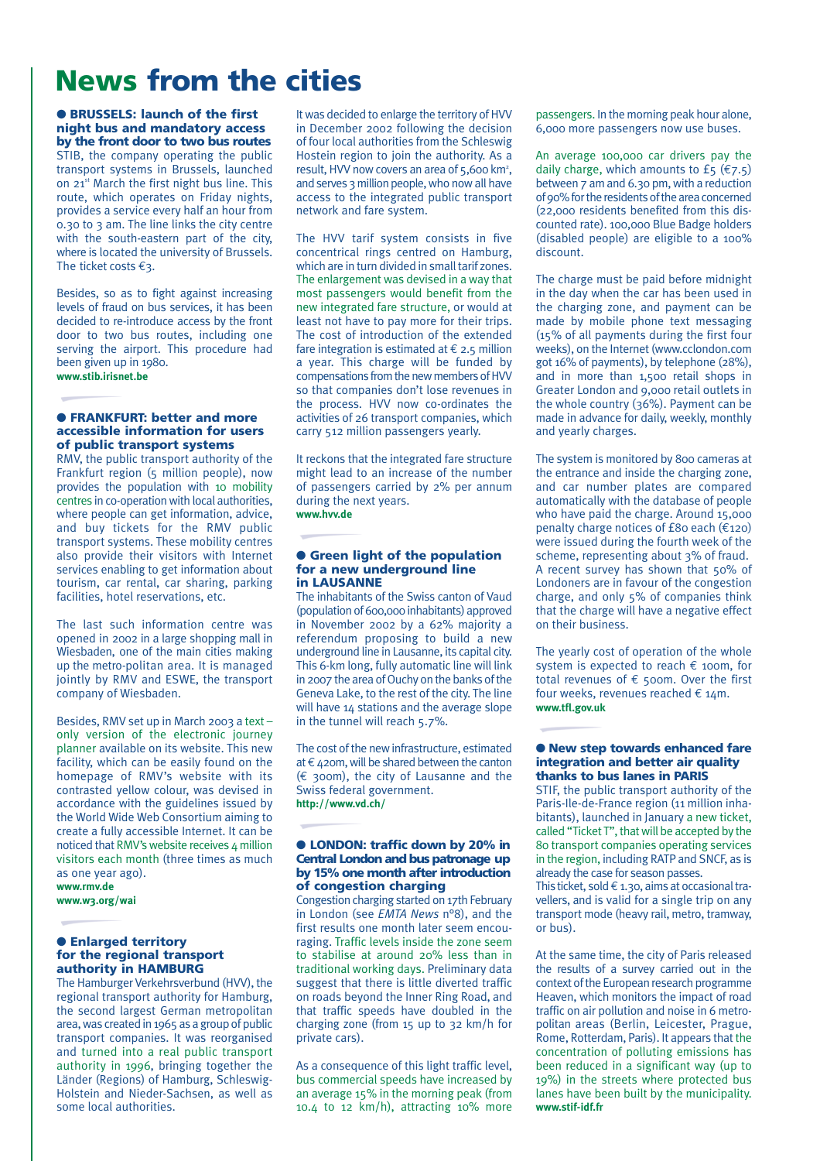### **News from the cities**

● **BRUSSELS: launch of the first night bus and mandatory access by the front door to two bus routes** STIB, the company operating the public transport systems in Brussels, launched on 21<sup>st</sup> March the first night bus line. This route, which operates on Friday nights, provides a service every half an hour from 0.30 to 3 am. The line links the city centre with the south-eastern part of the city, where is located the university of Brussels. The ticket costs  $\epsilon_3$ .

Besides, so as to fight against increasing levels of fraud on bus services, it has been decided to re-introduce access by the front door to two bus routes, including one serving the airport. This procedure had been given up in 1980. **www.stib.irisnet.be**

#### ● **FRANKFURT: better and more accessible information for users of public transport systems**

RMV, the public transport authority of the Frankfurt region (5 million people), now provides the population with 10 mobility centres in co-operation with local authorities, where people can get information, advice, and buy tickets for the RMV public transport systems. These mobility centres also provide their visitors with Internet services enabling to get information about tourism, car rental, car sharing, parking facilities, hotel reservations, etc.

The last such information centre was opened in 2002 in a large shopping mall in Wiesbaden, one of the main cities making up the metro-politan area. It is managed jointly by RMV and ESWE, the transport company of Wiesbaden.

Besides, RMV set up in March 2003 a text – only version of the electronic journey planner available on its website. This new facility, which can be easily found on the homepage of RMV's website with its contrasted yellow colour, was devised in accordance with the guidelines issued by the World Wide Web Consortium aiming to create a fully accessible Internet. It can be noticed that RMV's website receives 4 million visitors each month (three times as much as one year ago). **www.rmv.de** 

**www.w3.org/wai**

#### ● **Enlarged territory for the regional transport authority in HAMBURG**

The Hamburger Verkehrsverbund (HVV), the regional transport authority for Hamburg, the second largest German metropolitan area, was created in 1965 as a group of public transport companies. It was reorganised and turned into a real public transport authority in 1996, bringing together the Länder (Regions) of Hamburg, Schleswig-Holstein and Nieder-Sachsen, as well as some local authorities.

It was decided to enlarge the territory of HVV in December 2002 following the decision of four local authorities from the Schleswig Hostein region to join the authority. As a result, HVV now covers an area of 5,600 km<sup>2</sup>, and serves 3 million people, who now all have access to the integrated public transport network and fare system.

The HVV tarif system consists in five concentrical rings centred on Hamburg, which are in turn divided in small tarif zones. The enlargement was devised in a way that most passengers would benefit from the new integrated fare structure, or would at least not have to pay more for their trips. The cost of introduction of the extended fare integration is estimated at  $\epsilon$  2.5 million a year. This charge will be funded by compensations from the new members of HVV so that companies don't lose revenues in the process. HVV now co-ordinates the activities of 26 transport companies, which carry 512 million passengers yearly.

It reckons that the integrated fare structure might lead to an increase of the number of passengers carried by 2% per annum during the next years. **www.hvv.de**

#### ● **Green light of the population for a new underground line in LAUSANNE**

The inhabitants of the Swiss canton of Vaud (population of 600,000 inhabitants) approved in November 2002 by a 62% majority a referendum proposing to build a new underground line in Lausanne, its capital city. This 6-km long, fully automatic line will link in 2007 the area of Ouchy on the banks of the Geneva Lake, to the rest of the city. The line will have 14 stations and the average slope in the tunnel will reach 5.7%.

The cost of the new infrastructure, estimated at €420m, will be shared between the canton  $(\epsilon$  300m), the city of Lausanne and the Swiss federal government. **http://www.vd.ch/**

#### ● **LONDON: traffic down by 20% in Central London and bus patronage up by 15% one month after introduction of congestion charging**

Congestion charging started on 17th February in London (see *EMTA News* n°8), and the first results one month later seem encouraging. Traffic levels inside the zone seem to stabilise at around 20% less than in traditional working days. Preliminary data suggest that there is little diverted traffic on roads beyond the Inner Ring Road, and that traffic speeds have doubled in the charging zone (from 15 up to 32 km/h for private cars).

As a consequence of this light traffic level, bus commercial speeds have increased by an average 15% in the morning peak (from 10.4 to 12 km/h), attracting 10% more

passengers. In the morning peak hour alone, 6,000 more passengers now use buses.

An average 100,000 car drivers pay the daily charge, which amounts to £5 ( $\epsilon$ 7.5) between 7 am and 6.30 pm, with a reduction of 90% for the residents of the area concerned (22,000 residents benefited from this discounted rate). 100,000 Blue Badge holders (disabled people) are eligible to a 100% discount.

The charge must be paid before midnight in the day when the car has been used in the charging zone, and payment can be made by mobile phone text messaging (15% of all payments during the first four weeks), on the Internet (www.cclondon.com got 16% of payments), by telephone (28%), and in more than 1,500 retail shops in Greater London and 9,000 retail outlets in the whole country (36%). Payment can be made in advance for daily, weekly, monthly and yearly charges.

The system is monitored by 800 cameras at the entrance and inside the charging zone, and car number plates are compared automatically with the database of people who have paid the charge. Around 15,000 penalty charge notices of £80 each (€120) were issued during the fourth week of the scheme, representing about 3% of fraud. A recent survey has shown that 50% of Londoners are in favour of the congestion charge, and only 5% of companies think that the charge will have a negative effect on their business.

The yearly cost of operation of the whole system is expected to reach € 100m, for total revenues of  $\epsilon$  500m. Over the first four weeks, revenues reached  $\epsilon$  14m. **www.tfl.gov.uk**

#### ● **New step towards enhanced fare integration and better air quality thanks to bus lanes in PARIS**

STIF, the public transport authority of the Paris-Ile-de-France region (11 million inhabitants), launched in January a new ticket, called "Ticket T", that will be accepted by the 80 transport companies operating services in the region, including RATP and SNCF, as is already the case for season passes.

This ticket, sold  $\epsilon$  1.30, aims at occasional travellers, and is valid for a single trip on any transport mode (heavy rail, metro, tramway, or bus).

At the same time, the city of Paris released the results of a survey carried out in the context of the European research programme Heaven, which monitors the impact of road traffic on air pollution and noise in 6 metropolitan areas (Berlin, Leicester, Prague, Rome, Rotterdam, Paris). It appears that the concentration of polluting emissions has been reduced in a significant way (up to 19%) in the streets where protected bus lanes have been built by the municipality. **www.stif-idf.fr**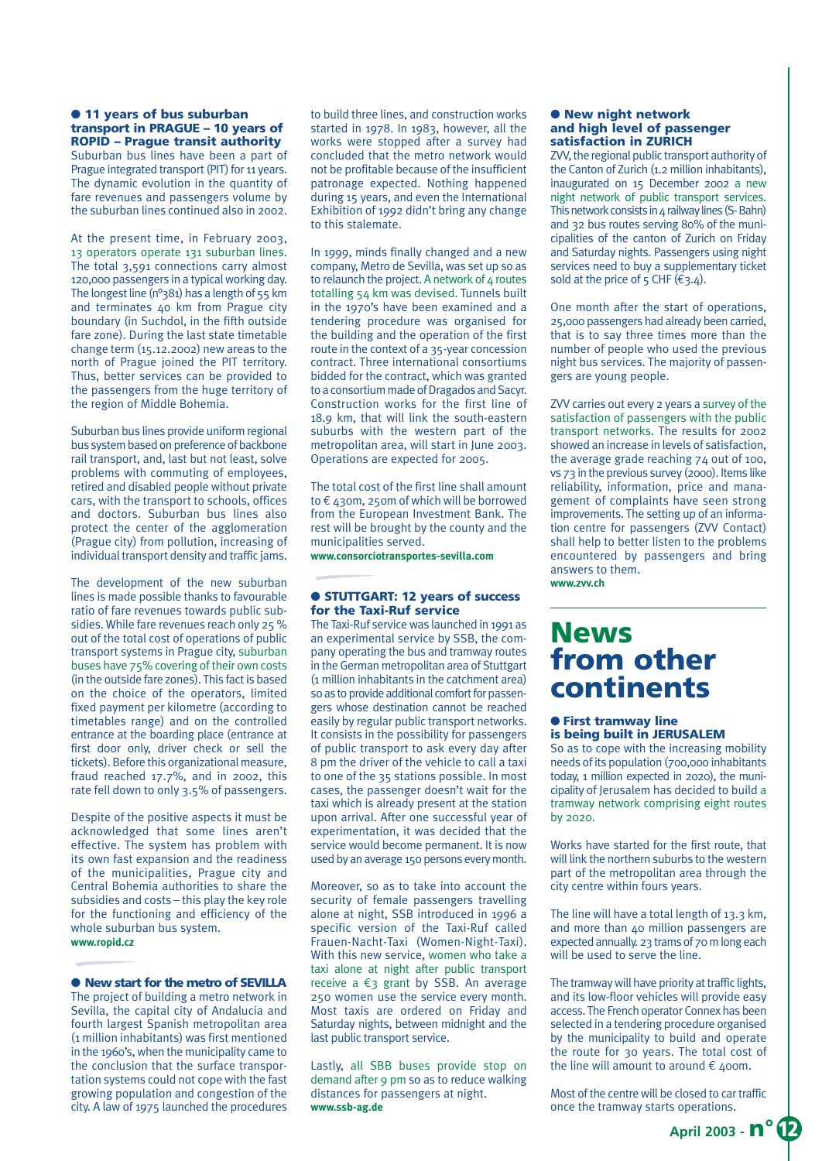● **11 years of bus suburban transport in PRAGUE – 10 years of ROPID – Prague transit authority**

Suburban bus lines have been a part of Prague integrated transport (PIT) for 11 years. The dynamic evolution in the quantity of fare revenues and passengers volume by the suburban lines continued also in 2002.

At the present time, in February 2003, 13 operators operate 131 suburban lines. The total 3,591 connections carry almost 120,000 passengers in a typical working day. The longest line (n°381) has a length of 55 km and terminates 40 km from Prague city boundary (in Suchdol, in the fifth outside fare zone). During the last state timetable change term (15.12.2002) new areas to the north of Prague joined the PIT territory. Thus, better services can be provided to the passengers from the huge territory of the region of Middle Bohemia.

Suburban bus lines provide uniform regional bus system based on preference of backbone rail transport, and, last but not least, solve problems with commuting of employees, retired and disabled people without private cars, with the transport to schools, offices and doctors. Suburban bus lines also protect the center of the agglomeration (Prague city) from pollution, increasing of individual transport density and traffic jams.

The development of the new suburban lines is made possible thanks to favourable ratio of fare revenues towards public subsidies. While fare revenues reach only 25 % out of the total cost of operations of public transport systems in Prague city, suburban buses have 75% covering of their own costs (in the outside fare zones). This fact is based on the choice of the operators, limited fixed payment per kilometre (according to timetables range) and on the controlled entrance at the boarding place (entrance at first door only, driver check or sell the tickets). Before this organizational measure, fraud reached 17.7%, and in 2002, this rate fell down to only 3.5% of passengers.

Despite of the positive aspects it must be acknowledged that some lines aren't effective. The system has problem with its own fast expansion and the readiness of the municipalities, Prague city and Central Bohemia authorities to share the subsidies and costs – this play the key role for the functioning and efficiency of the whole suburban bus system. **www.ropid.cz**

#### ● **New start for the metro of SEVILLA**

The project of building a metro network in Sevilla, the capital city of Andalucia and fourth largest Spanish metropolitan area (1 million inhabitants) was first mentioned in the 1960's, when the municipality came to the conclusion that the surface transportation systems could not cope with the fast growing population and congestion of the city. A law of 1975 launched the procedures to build three lines, and construction works started in 1978. In 1983, however, all the works were stopped after a survey had concluded that the metro network would not be profitable because of the insufficient patronage expected. Nothing happened during 15 years, and even the International Exhibition of 1992 didn't bring any change to this stalemate.

In 1999, minds finally changed and a new company, Metro de Sevilla, was set up so as to relaunch the project. A network of  $4$  routes totalling 54 km was devised. Tunnels built in the 1970's have been examined and a tendering procedure was organised for the building and the operation of the first route in the context of a 35-year concession contract. Three international consortiums bidded for the contract, which was granted to a consortium made of Dragados and Sacyr. Construction works for the first line of 18.9 km, that will link the south-eastern suburbs with the western part of the metropolitan area, will start in June 2003. Operations are expected for 2005.

The total cost of the first line shall amount to € 430m, 250m of which will be borrowed from the European Investment Bank. The rest will be brought by the county and the municipalities served.

**www.consorciotransportes-sevilla.com**

#### ● **STUTTGART: 12 years of success for the Taxi-Ruf service**

The Taxi-Ruf service was launched in 1991 as an experimental service by SSB, the company operating the bus and tramway routes in the German metropolitan area of Stuttgart (1 million inhabitants in the catchment area) so as to provide additional comfort for passengers whose destination cannot be reached easily by regular public transport networks. It consists in the possibility for passengers of public transport to ask every day after 8 pm the driver of the vehicle to call a taxi to one of the 35 stations possible. In most cases, the passenger doesn't wait for the taxi which is already present at the station upon arrival. After one successful year of experimentation, it was decided that the service would become permanent. It is now used by an average 150 persons every month.

Moreover, so as to take into account the security of female passengers travelling alone at night, SSB introduced in 1996 a specific version of the Taxi-Ruf called Frauen-Nacht-Taxi (Women-Night-Taxi). With this new service, women who take a taxi alone at night after public transport receive a €3 grant by SSB. An average 250 women use the service every month. Most taxis are ordered on Friday and Saturday nights, between midnight and the last public transport service.

Lastly, all SBB buses provide stop on demand after 9 pm so as to reduce walking distances for passengers at night. **www.ssb-ag.de** 

#### ● **New night network and high level of passenger satisfaction in ZURICH**

ZVV, the regional public transport authority of the Canton of Zurich (1.2 million inhabitants), inaugurated on 15 December 2002 a new night network of public transport services. This network consists in 4 railway lines (S- Bahn) and 32 bus routes serving 80% of the municipalities of the canton of Zurich on Friday and Saturday nights. Passengers using night services need to buy a supplementary ticket sold at the price of 5 CHF ( $\epsilon$ 3.4).

One month after the start of operations, 25,000 passengers had already been carried, that is to say three times more than the number of people who used the previous night bus services. The majority of passengers are young people.

ZVV carries out every 2 years a survey of the satisfaction of passengers with the public transport networks. The results for 2002 showed an increase in levels of satisfaction, the average grade reaching 74 out of 100, vs 73 in the previous survey (2000). Items like reliability, information, price and management of complaints have seen strong improvements. The setting up of an information centre for passengers (ZVV Contact) shall help to better listen to the problems encountered by passengers and bring answers to them. **www.zvv.ch**

### **News from other continents**

#### ● **First tramway line is being built in JERUSALEM**

So as to cope with the increasing mobility needs of its population (700,000 inhabitants today, 1 million expected in 2020), the municipality of Jerusalem has decided to build a tramway network comprising eight routes  $h\nu$  2020.

Works have started for the first route, that will link the northern suburbs to the western part of the metropolitan area through the city centre within fours years.

The line will have a total length of 13.3 km, and more than 40 million passengers are expected annually. 23 trams of 70 m long each will be used to serve the line.

The tramway will have priority at traffic lights, and its low-floor vehicles will provide easy access. The French operator Connex has been selected in a tendering procedure organised by the municipality to build and operate the route for 30 years. The total cost of the line will amount to around  $\epsilon$  400m.

Most of the centre will be closed to car traffic once the tramway starts operations.